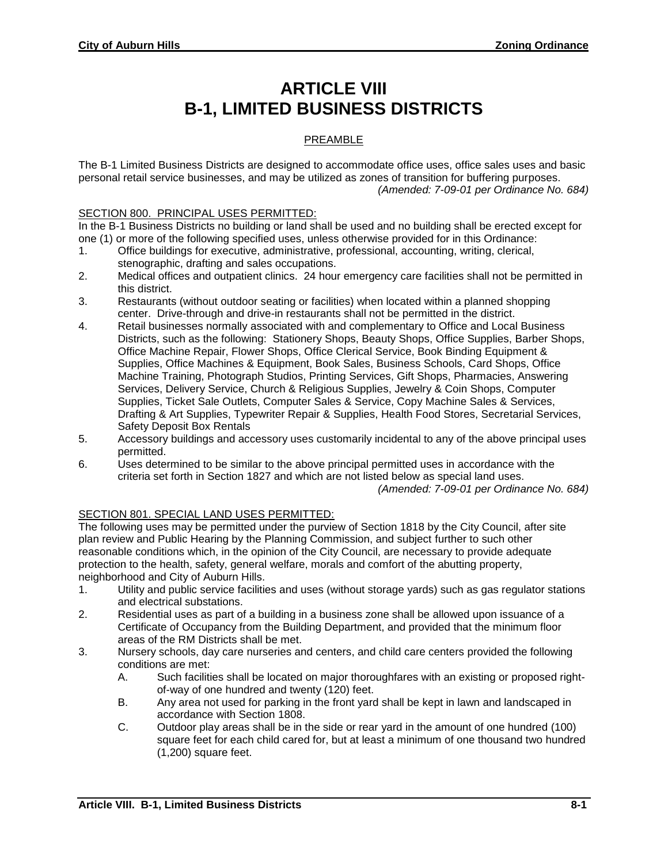# **ARTICLE VIII B-1, LIMITED BUSINESS DISTRICTS**

## PREAMBLE

The B-1 Limited Business Districts are designed to accommodate office uses, office sales uses and basic personal retail service businesses, and may be utilized as zones of transition for buffering purposes. *(Amended: 7-09-01 per Ordinance No. 684)*

#### SECTION 800. PRINCIPAL USES PERMITTED:

In the B-1 Business Districts no building or land shall be used and no building shall be erected except for one (1) or more of the following specified uses, unless otherwise provided for in this Ordinance:

- 1. Office buildings for executive, administrative, professional, accounting, writing, clerical, stenographic, drafting and sales occupations.
- 2. Medical offices and outpatient clinics. 24 hour emergency care facilities shall not be permitted in this district.
- 3. Restaurants (without outdoor seating or facilities) when located within a planned shopping center. Drive-through and drive-in restaurants shall not be permitted in the district.
- 4. Retail businesses normally associated with and complementary to Office and Local Business Districts, such as the following: Stationery Shops, Beauty Shops, Office Supplies, Barber Shops, Office Machine Repair, Flower Shops, Office Clerical Service, Book Binding Equipment & Supplies, Office Machines & Equipment, Book Sales, Business Schools, Card Shops, Office Machine Training, Photograph Studios, Printing Services, Gift Shops, Pharmacies, Answering Services, Delivery Service, Church & Religious Supplies, Jewelry & Coin Shops, Computer Supplies, Ticket Sale Outlets, Computer Sales & Service, Copy Machine Sales & Services, Drafting & Art Supplies, Typewriter Repair & Supplies, Health Food Stores, Secretarial Services, Safety Deposit Box Rentals
- 5. Accessory buildings and accessory uses customarily incidental to any of the above principal uses permitted.
- 6. Uses determined to be similar to the above principal permitted uses in accordance with the criteria set forth in Section 1827 and which are not listed below as special land uses. *(Amended: 7-09-01 per Ordinance No. 684)*

### SECTION 801. SPECIAL LAND USES PERMITTED:

The following uses may be permitted under the purview of Section 1818 by the City Council, after site plan review and Public Hearing by the Planning Commission, and subject further to such other reasonable conditions which, in the opinion of the City Council, are necessary to provide adequate protection to the health, safety, general welfare, morals and comfort of the abutting property, neighborhood and City of Auburn Hills.

- 1. Utility and public service facilities and uses (without storage yards) such as gas regulator stations and electrical substations.
- 2. Residential uses as part of a building in a business zone shall be allowed upon issuance of a Certificate of Occupancy from the Building Department, and provided that the minimum floor areas of the RM Districts shall be met.
- 3. Nursery schools, day care nurseries and centers, and child care centers provided the following conditions are met:
	- A. Such facilities shall be located on major thoroughfares with an existing or proposed rightof-way of one hundred and twenty (120) feet.
	- B. Any area not used for parking in the front yard shall be kept in lawn and landscaped in accordance with Section 1808.
	- C. Outdoor play areas shall be in the side or rear yard in the amount of one hundred (100) square feet for each child cared for, but at least a minimum of one thousand two hundred (1,200) square feet.